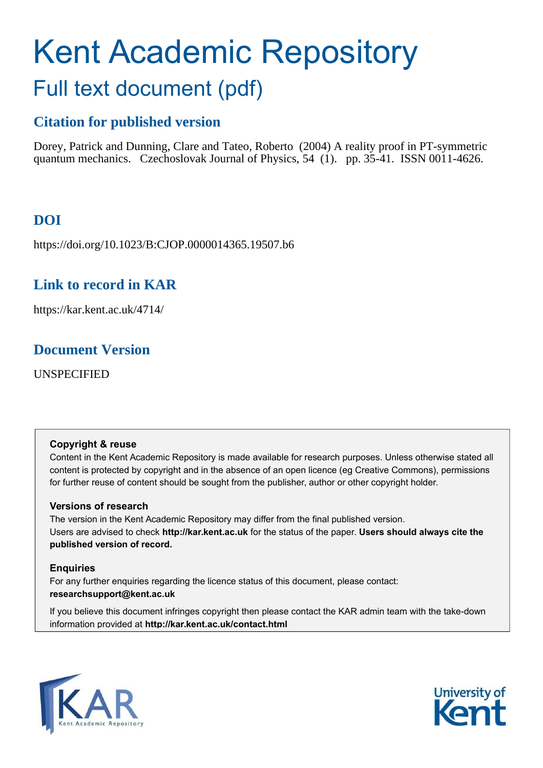# Kent Academic Repository Full text document (pdf)

# **Citation for published version**

Dorey, Patrick and Dunning, Clare and Tateo, Roberto (2004) A reality proof in PT-symmetric quantum mechanics. Czechoslovak Journal of Physics, 54 (1). pp. 35-41. ISSN 0011-4626.

# **DOI**

https://doi.org/10.1023/B:CJOP.0000014365.19507.b6

# **Link to record in KAR**

https://kar.kent.ac.uk/4714/

# **Document Version**

UNSPECIFIED

# <span id="page-0-0"></span>**Copyright & reuse**

Content in the Kent Academic Repository is made available for research purposes. Unless otherwise stated all content is protected by copyright and in the absence of an open licence (eg Creative Commons), permissions for further reuse of content should be sought from the publisher, author or other copyright holder.

# **Versions of research**

The version in the Kent Academic Repository may differ from the final published version. Users are advised to check **http://kar.kent.ac.uk** for the status of the paper. **Users should always cite the published version of record.**

# **Enquiries**

For any further enquiries regarding the licence status of this document, please contact: **researchsupport@kent.ac.uk**

If you believe this document infringes copyright then please contact the KAR admin team with the take-down information provided at **http://kar.kent.ac.uk/contact.html**



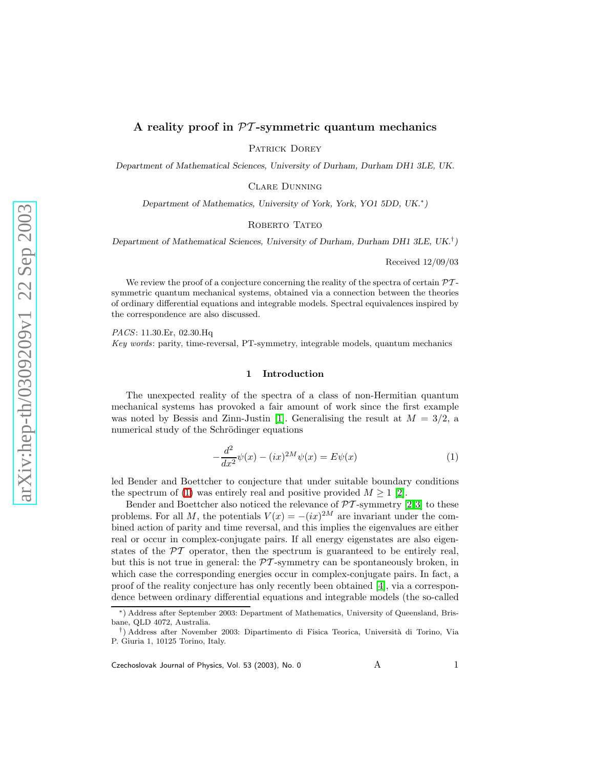## A reality proof in  $PT$ -symmetric quantum mechanics

PATRICK DOREY

Department of Mathematical Sciences, University of Durham, Durham DH1 3LE, UK.

Clare Dunning

Department of Mathematics, University of York, York, YO1 5DD, UK.<sup>∗</sup> )

#### ROBERTO TATEO

Department of Mathematical Sciences, University of Durham, Durham DH1 3LE, UK.<sup>†</sup>)

Received 12/09/03

We review the proof of a conjecture concerning the reality of the spectra of certain  $\mathcal{P}\mathcal{T}$ symmetric quantum mechanical systems, obtained via a connection between the theories of ordinary differential equations and integrable models. Spectral equivalences inspired by the correspondence are also discussed.

<span id="page-1-1"></span>PACS: 11.30.Er, 02.30.Hq

Key words: parity, time-reversal, PT-symmetry, integrable models, quantum mechanics

## <span id="page-1-0"></span>1 Introduction

The unexpected reality of the spectra of a class of non-Hermitian quantum mechanical systems has provoked a fair amount of work since the first example was noted by Bessis and Zinn-Justin [\[1\]](#page-6-0). Generalising the result at  $M = 3/2$ , a numerical study of the Schrödinger equations

<span id="page-1-2"></span>
$$
-\frac{d^2}{dx^2}\psi(x) - (ix)^{2M}\psi(x) = E\psi(x)
$$
\n<sup>(1)</sup>

led Bender and Boettcher to conjecture that under suitable boundary conditions the spectrum of [\(1\)](#page-0-0) was entirely real and positive provided  $M \geq 1$  [\[2\]](#page-6-1).

Bender and Boettcher also noticed the relevance of  $\mathcal{PT}$ -symmetry [\[2,](#page-6-1)[3\]](#page-6-2) to these problems. For all M, the potentials  $V(x) = -(ix)^{2M}$  are invariant under the combined action of parity and time reversal, and this implies the eigenvalues are either real or occur in complex-conjugate pairs. If all energy eigenstates are also eigenstates of the  $\mathcal{P}\mathcal{T}$  operator, then the spectrum is guaranteed to be entirely real, but this is not true in general: the  $\mathcal{P}T$ -symmetry can be spontaneously broken, in which case the corresponding energies occur in complex-conjugate pairs. In fact, a proof of the reality conjecture has only recently been obtained [\[4\]](#page-6-3), via a correspondence between ordinary differential equations and integrable models (the so-called

 $C$ zechoslovak Journal of Physics, Vol. 53 (2003), No. 0  $A$   $A$   $A$ 

<sup>∗</sup>) Address after September 2003: Department of Mathematics, University of Queensland, Brisbane, QLD 4072, Australia.

<sup>&</sup>lt;sup>†</sup>) Address after November 2003: Dipartimento di Fisica Teorica, Università di Torino, Via P. Giuria 1, 10125 Torino, Italy.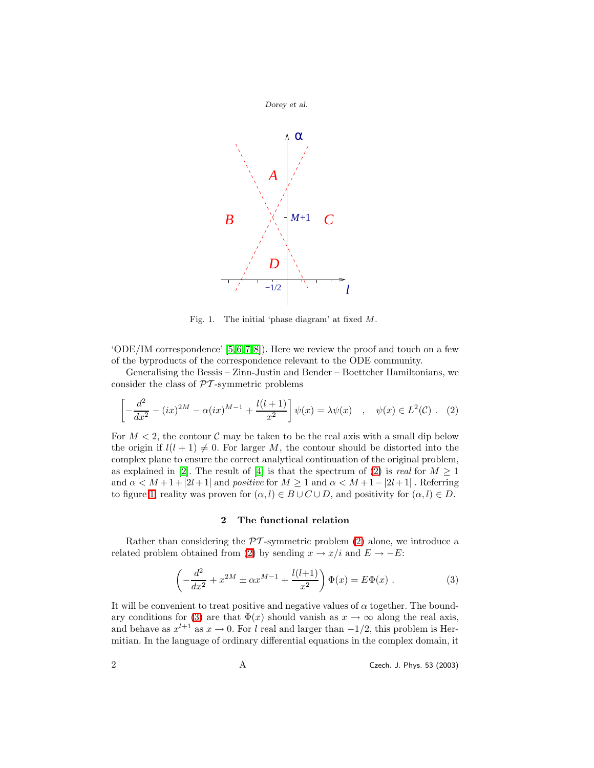

Fig. 1. The initial 'phase diagram' at fixed M.

<span id="page-2-1"></span> $'ODE/IM$  correspondence' [\[5,](#page-6-4) [6,](#page-6-5) [7,](#page-6-6) [8\]](#page-6-7)). Here we review the proof and touch on a few of the byproducts of the correspondence relevant to the ODE community.

Generalising the Bessis – Zinn-Justin and Bender – Boettcher Hamiltonians, we consider the class of  $\mathcal{PT}$ -symmetric problems

$$
\left[ -\frac{d^2}{dx^2} - (ix)^{2M} - \alpha(ix)^{M-1} + \frac{l(l+1)}{x^2} \right] \psi(x) = \lambda \psi(x) \quad , \quad \psi(x) \in L^2(\mathcal{C}) \ . \tag{2}
$$

For  $M < 2$ , the contour C may be taken to be the real axis with a small dip below the origin if  $l(l + 1) \neq 0$ . For larger M, the contour should be distorted into the complex plane to ensure the correct analytical continuation of the original problem, as explained in [\[2\]](#page-6-1). The result of [\[4\]](#page-6-3) is that the spectrum of [\(2\)](#page-1-0) is real for  $M \geq 1$ and  $\alpha < M+1+|2l+1|$  and positive for  $M \geq 1$  and  $\alpha < M+1-|2l+1|$ . Referring to figure [1,](#page-1-1) reality was proven for  $(\alpha, l) \in B \cup C \cup D$ , and positivity for  $(\alpha, l) \in D$ .

#### <span id="page-2-0"></span>2 The functional relation

<span id="page-2-2"></span>Rather than considering the  $\mathcal{PT}$ -symmetric problem [\(2\)](#page-1-0) alone, we introduce a related problem obtained from [\(2\)](#page-1-0) by sending  $x \to x/i$  and  $E \to -E$ :

$$
\left(-\frac{d^2}{dx^2} + x^{2M} \pm \alpha x^{M-1} + \frac{l(l+1)}{x^2}\right) \Phi(x) = E\Phi(x) .
$$
 (3)

It will be convenient to treat positive and negative values of  $\alpha$  together. The bound-ary conditions for [\(3\)](#page-1-2) are that  $\Phi(x)$  should vanish as  $x \to \infty$  along the real axis, and behave as  $x^{l+1}$  as  $x \to 0$ . For l real and larger than  $-1/2$ , this problem is Hermitian. In the language of ordinary differential equations in the complex domain, it

2 A Czech. J. Phys. 53 (2003)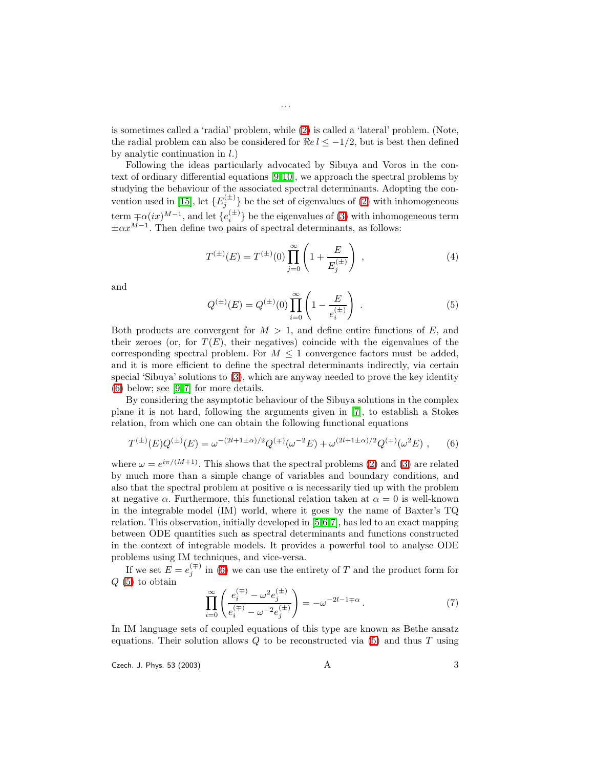is sometimes called a 'radial' problem, while [\(2\)](#page-1-0) is called a 'lateral' problem. (Note, the radial problem can also be considered for  $\Re e \, l \leq -1/2$ , but is best then defined by analytic continuation in  $l$ .)

Following the ideas particularly advocated by Sibuya and Voros in the context of ordinary differential equations [\[9,](#page-6-8)[10\]](#page-6-9), we approach the spectral problems by studying the behaviour of the associated spectral determinants. Adopting the con-vention used in [\[15\]](#page-6-10), let  $\{E_j^{(\pm)}\}$  be the set of eigenvalues of [\(2\)](#page-1-0) with inhomogeneous term  $\pm \alpha (ix)^{M-1}$ , and let  $\{e_i^{(\pm)}\}$  be the eigenvalues of [\(3\)](#page-1-2) with inhomogeneous term  $\pm \alpha x^{M-1}$ . Then define two pairs of spectral determinants, as follows:

<span id="page-3-0"></span>
$$
T^{(\pm)}(E) = T^{(\pm)}(0) \prod_{j=0}^{\infty} \left( 1 + \frac{E}{E_j^{(\pm)}} \right) , \qquad (4)
$$

and

$$
Q^{(\pm)}(E) = Q^{(\pm)}(0) \prod_{i=0}^{\infty} \left( 1 - \frac{E}{e_i^{(\pm)}} \right) . \tag{5}
$$

Both products are convergent for  $M > 1$ , and define entire functions of E, and their zeroes (or, for  $T(E)$ , their negatives) coincide with the eigenvalues of the corresponding spectral problem. For  $M \leq 1$  convergence factors must be added, and it is more efficient to define the spectral determinants indirectly, via certain special 'Sibuya' solutions to [\(3\)](#page-1-2), which are anyway needed to prove the key identity [\(6\)](#page-2-0) below; see [\[9,](#page-6-8) [7\]](#page-6-6) for more details.

<span id="page-3-1"></span>By considering the asymptotic behaviour of the Sibuya solutions in the complex plane it is not hard, following the arguments given in [\[7\]](#page-6-6), to establish a Stokes relation, from which one can obtain the following functional equations

$$
T^{(\pm)}(E)Q^{(\pm)}(E) = \omega^{-(2l+1\pm\alpha)/2}Q^{(\mp)}(\omega^{-2}E) + \omega^{(2l+1\pm\alpha)/2}Q^{(\mp)}(\omega^2E) ,\qquad (6)
$$

where  $\omega = e^{i\pi/(M+1)}$ . This shows that the spectral problems [\(2\)](#page-1-0) and [\(3\)](#page-1-2) are related by much more than a simple change of variables and boundary conditions, and also that the spectral problem at positive  $\alpha$  is necessarily tied up with the problem at negative  $\alpha$ . Furthermore, this functional relation taken at  $\alpha = 0$  is well-known in the integrable model (IM) world, where it goes by the name of Baxter's TQ relation. This observation, initially developed in [\[5,](#page-6-4)[6,](#page-6-5)[7\]](#page-6-6), has led to an exact mapping between ODE quantities such as spectral determinants and functions constructed in the context of integrable models. It provides a powerful tool to analyse ODE problems using IM techniques, and vice-versa.

If we set  $E = e_j^{(\mp)}$  in [\(6\)](#page-2-0) we can use the entirety of T and the product form for  $Q(5)$  $Q(5)$  to obtain

$$
\prod_{i=0}^{\infty} \left( \frac{e_i^{(\mp)} - \omega^2 e_j^{(\pm)}}{e_i^{(\mp)} - \omega^{-2} e_j^{(\pm)}} \right) = -\omega^{-2l - 1 \mp \alpha} \,. \tag{7}
$$

In IM language sets of coupled equations of this type are known as Bethe ansatz equations. Their solution allows  $Q$  to be reconstructed via  $(5)$  and thus  $T$  using

Czech. J. Phys. 53 (2003)  $A$  3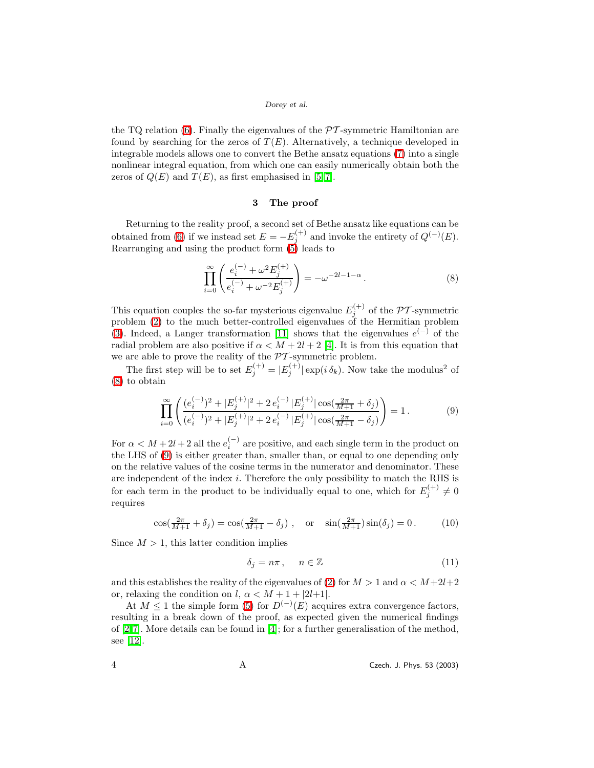## Dorey et al.

the TQ relation  $(6)$ . Finally the eigenvalues of the  $\mathcal{PT}$ -symmetric Hamiltonian are found by searching for the zeros of  $T(E)$ . Alternatively, a technique developed in integrable models allows one to convert the Bethe ansatz equations [\(7\)](#page-2-2) into a single nonlinear integral equation, from which one can easily numerically obtain both the zeros of  $Q(E)$  and  $T(E)$ , as first emphasised in [\[5,](#page-6-4) [7\]](#page-6-6).

## 3 The proof

Returning to the reality proof, a second set of Bethe ansatz like equations can be obtained from [\(6\)](#page-2-0) if we instead set  $E = -E_j^{(+)}$  and invoke the entirety of  $Q^{(-)}(E)$ . Rearranging and using the product form  $\overrightarrow{5}$  leads to

$$
\prod_{i=0}^{\infty} \left( \frac{e_i^{(-)} + \omega^2 E_j^{(+)}}{e_i^{(-)} + \omega^{-2} E_j^{(+)}} \right) = -\omega^{-2l-1-\alpha} \,. \tag{8}
$$

<span id="page-4-0"></span>This equation couples the so-far mysterious eigenvalue  $E_i^{(+)}$  $\mathcal{P}^{\left(\tau\right)}$  of the PT-symmetric problem [\(2\)](#page-1-0) to the much better-controlled eigenvalues of the Hermitian problem [\(3\)](#page-1-2). Indeed, a Langer transformation [\[11\]](#page-6-11) shows that the eigenvalues  $e^{(-)}$  of the radial problem are also positive if  $\alpha < M + 2l + 2$  [\[4\]](#page-6-3). It is from this equation that we are able to prove the reality of the  $\mathcal{P}\mathcal{T}$  -symmetric problem.

The first step will be to set  $E_j^{(+)} = |E_j^{(+)}| \exp(i \delta_k)$ . Now take the modulus<sup>2</sup> of [\(8\)](#page-3-0) to obtain

$$
\prod_{i=0}^{\infty} \left( \frac{(e_i^{(-)})^2 + |E_j^{(+)}|^2 + 2e_i^{(-)}|E_j^{(+)}|\cos(\frac{2\pi}{M+1} + \delta_j)}{(e_i^{(-)})^2 + |E_j^{(+)}|^2 + 2e_i^{(-)}|E_j^{(+)}|\cos(\frac{2\pi}{M+1} - \delta_j)} \right) = 1.
$$
\n(9)

For  $\alpha < M + 2l + 2$  all the  $e_i^{(-)}$  are positive, and each single term in the product on the LHS of [\(9\)](#page-3-1) is either greater than, smaller than, or equal to one depending only on the relative values of the cosine terms in the numerator and denominator. These are independent of the index i. Therefore the only possibility to match the RHS is for each term in the product to be individually equal to one, which for  $E_j^{(+)} \neq 0$ requires

$$
\cos(\frac{2\pi}{M+1} + \delta_j) = \cos(\frac{2\pi}{M+1} - \delta_j), \text{ or } \sin(\frac{2\pi}{M+1})\sin(\delta_j) = 0.
$$
 (10)

Since  $M > 1$ , this latter condition implies

$$
\delta_j = n\pi \,, \qquad n \in \mathbb{Z} \tag{11}
$$

and this establishes the reality of the eigenvalues of [\(2\)](#page-1-0) for  $M > 1$  and  $\alpha < M + 2l + 2$ or, relaxing the condition on l,  $\alpha < M + 1 + |2l+1|$ .

At  $M \leq 1$  the simple form [\(5\)](#page-2-1) for  $D^{(-)}(E)$  acquires extra convergence factors, resulting in a break down of the proof, as expected given the numerical findings of [\[2,](#page-6-1)[7\]](#page-6-6). More details can be found in [\[4\]](#page-6-3); for a further generalisation of the method, see [\[12\]](#page-6-12).

4 A Czech. J. Phys. 53 (2003)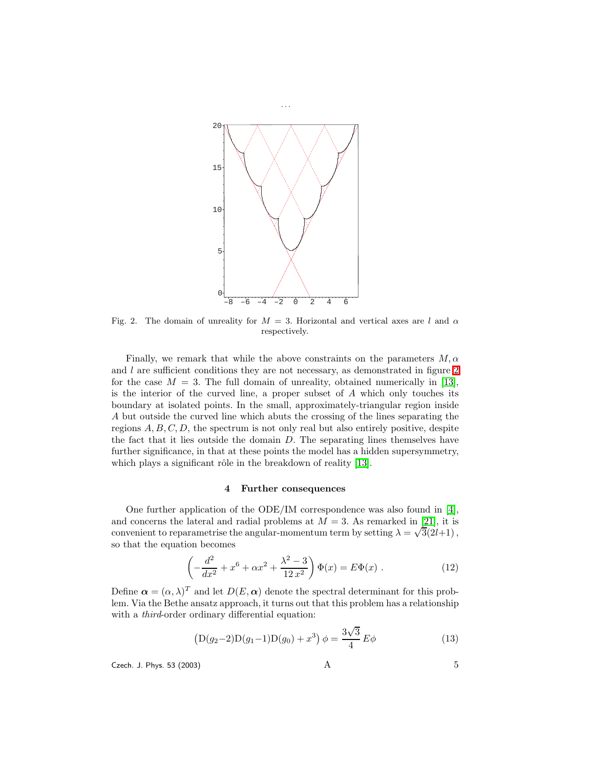

Fig. 2. The domain of unreality for  $M = 3$ . Horizontal and vertical axes are l and  $\alpha$ respectively.

Finally, we remark that while the above constraints on the parameters  $M$ ,  $\alpha$ and  $l$  are sufficient conditions they are not necessary, as demonstrated in figure  $2$ for the case  $M = 3$ . The full domain of unreality, obtained numerically in [\[13\]](#page-6-13), is the interior of the curved line, a proper subset of  $A$  which only touches its boundary at isolated points. In the small, approximately-triangular region inside A but outside the curved line which abuts the crossing of the lines separating the regions  $A, B, C, D$ , the spectrum is not only real but also entirely positive, despite the fact that it lies outside the domain  $D$ . The separating lines themselves have further significance, in that at these points the model has a hidden supersymmetry, which plays a significant rôle in the breakdown of reality  $[13]$ .

#### 4 Further consequences

One further application of the ODE/IM correspondence was also found in [\[4\]](#page-6-3), and concerns the lateral and radial problems at  $M = 3$ . As remarked in [\[21\]](#page-6-14), it is convenient to reparametrise the angular-momentum term by setting  $\lambda = \sqrt{3}(2l+1)$ , so that the equation becomes

$$
\left(-\frac{d^2}{dx^2} + x^6 + \alpha x^2 + \frac{\lambda^2 - 3}{12x^2}\right)\Phi(x) = E\Phi(x) .
$$
 (12)

Define  $\boldsymbol{\alpha} = (\alpha, \lambda)^T$  and let  $D(E, \boldsymbol{\alpha})$  denote the spectral determinant for this problem. Via the Bethe ansatz approach, it turns out that this problem has a relationship with a *third*-order ordinary differential equation:

$$
(D(g_2 - 2)D(g_1 - 1)D(g_0) + x^3) \phi = \frac{3\sqrt{3}}{4} E\phi
$$
\n(13)

Czech. J. Phys. 53 (2003)  $A$  5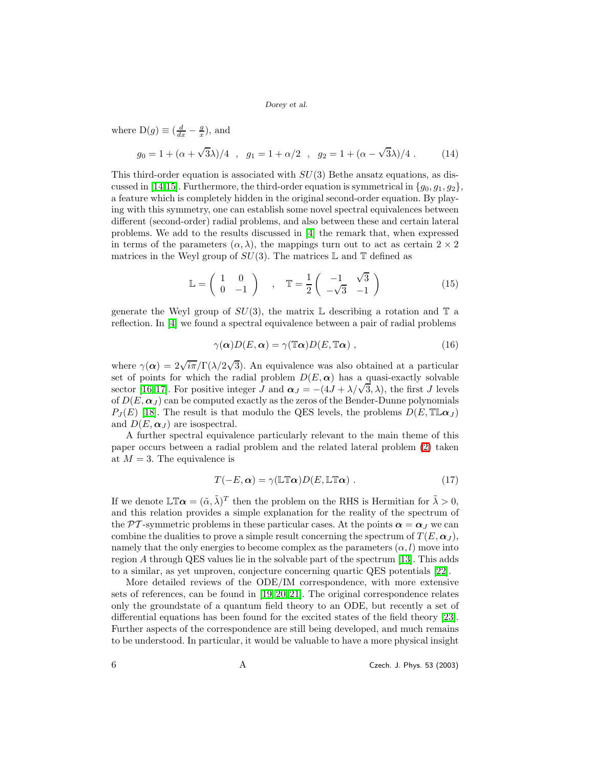Dorey et al.

where  $D(g) \equiv \left(\frac{d}{dx} - \frac{g}{x}\right)$ , and

$$
g_0 = 1 + (\alpha + \sqrt{3}\lambda)/4 \, , \, g_1 = 1 + \alpha/2 \, , \, g_2 = 1 + (\alpha - \sqrt{3}\lambda)/4 \, . \tag{14}
$$

<span id="page-6-0"></span>This third-order equation is associated with  $SU(3)$  Bethe ansatz equations, as dis-cussed in [\[14](#page-6-15)[,15\]](#page-6-10). Furthermore, the third-order equation is symmetrical in  $\{g_0, g_1, g_2\}$ , a feature which is completely hidden in the original second-order equation. By playing with this symmetry, one can establish some novel spectral equivalences between different (second-order) radial problems, and also between these and certain lateral problems. We add to the results discussed in [\[4\]](#page-6-3) the remark that, when expressed in terms of the parameters  $(\alpha, \lambda)$ , the mappings turn out to act as certain  $2 \times 2$ matrices in the Weyl group of  $SU(3)$ . The matrices L and T defined as

$$
\mathbb{L} = \begin{pmatrix} 1 & 0 \\ 0 & -1 \end{pmatrix} , \quad \mathbb{T} = \frac{1}{2} \begin{pmatrix} -1 & \sqrt{3} \\ -\sqrt{3} & -1 \end{pmatrix}
$$
 (15)

<span id="page-6-6"></span><span id="page-6-5"></span><span id="page-6-4"></span><span id="page-6-3"></span><span id="page-6-2"></span><span id="page-6-1"></span>generate the Weyl group of  $SU(3)$ , the matrix L describing a rotation and T a reflection. In [\[4\]](#page-6-3) we found a spectral equivalence between a pair of radial problems

$$
\gamma(\alpha)D(E,\alpha) = \gamma(\mathbb{T}\alpha)D(E,\mathbb{T}\alpha) , \qquad (16)
$$

<span id="page-6-9"></span><span id="page-6-8"></span><span id="page-6-7"></span>where  $\gamma(\alpha) = 2\sqrt{i\pi}/\Gamma(\lambda/2\sqrt{3})$ . An equivalence was also obtained at a particular set of points for which the radial problem  $D(E, \alpha)$  has a quasi-exactly solvable sector [\[16,](#page-6-16) [17\]](#page-6-17). For positive integer J and  $\alpha_J = -(4J + \lambda/\sqrt{3}, \lambda)$ , the first J levels of  $D(E, \alpha_{J})$  can be computed exactly as the zeros of the Bender-Dunne polynomials  $P_I(E)$  [\[18\]](#page-6-18). The result is that modulo the QES levels, the problems  $D(E, \mathbb{T} \mathbb{L} \alpha_I)$ and  $D(E, \alpha_I)$  are isospectral.

<span id="page-6-15"></span><span id="page-6-13"></span><span id="page-6-12"></span><span id="page-6-11"></span><span id="page-6-10"></span>A further spectral equivalence particularly relevant to the main theme of this paper occurs between a radial problem and the related lateral problem [\(2\)](#page-1-0) taken at  $M = 3$ . The equivalence is

$$
T(-E,\alpha) = \gamma(\mathbb{LT}\alpha)D(E,\mathbb{LT}\alpha) .
$$
 (17)

<span id="page-6-20"></span><span id="page-6-18"></span><span id="page-6-17"></span><span id="page-6-16"></span>If we denote  $\mathbb{LT}\alpha = (\tilde{\alpha}, \tilde{\lambda})^T$  then the problem on the RHS is Hermitian for  $\tilde{\lambda} > 0$ , and this relation provides a simple explanation for the reality of the spectrum of the PT-symmetric problems in these particular cases. At the points  $\alpha = \alpha_J$  we can combine the dualities to prove a simple result concerning the spectrum of  $T(E, \alpha_I)$ , namely that the only energies to become complex as the parameters  $(\alpha, l)$  move into region A through QES values lie in the solvable part of the spectrum [\[13\]](#page-6-13). This adds to a similar, as yet unproven, conjecture concerning quartic QES potentials [\[22\]](#page-6-19).

<span id="page-6-22"></span><span id="page-6-21"></span><span id="page-6-19"></span><span id="page-6-14"></span>More detailed reviews of the ODE/IM correspondence, with more extensive sets of references, can be found in [\[19,](#page-6-20) [20,](#page-6-21) [21\]](#page-6-14). The original correspondence relates only the groundstate of a quantum field theory to an ODE, but recently a set of differential equations has been found for the excited states of the field theory [\[23\]](#page-6-22). Further aspects of the correspondence are still being developed, and much remains to be understood. In particular, it would be valuable to have a more physical insight

6 A Czech. J. Phys. 53 (2003)